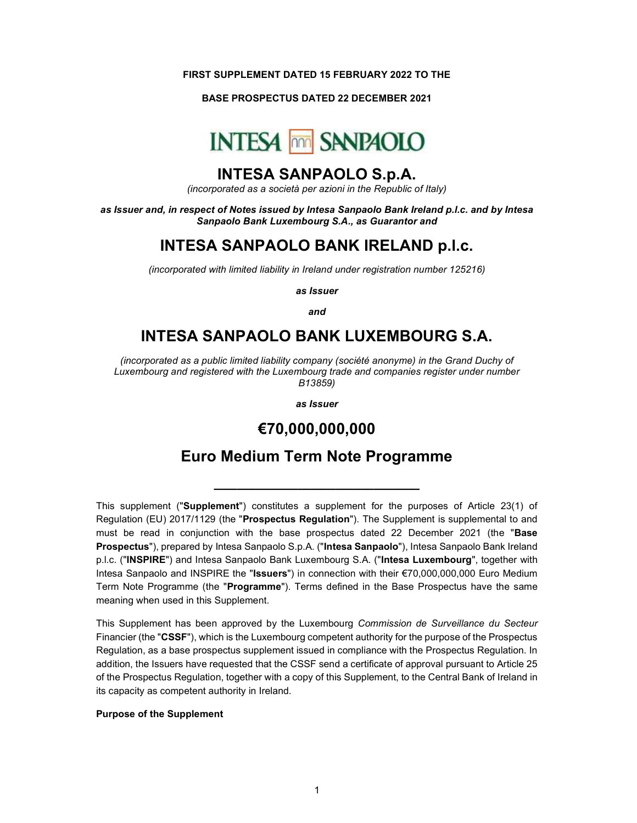#### FIRST SUPPLEMENT DATED 15 FEBRUARY 2022 TO THE

BASE PROSPECTUS DATED 22 DECEMBER 2021



### INTESA SANPAOLO S.p.A.

(incorporated as a società per azioni in the Republic of Italy)

as Issuer and, in respect of Notes issued by Intesa Sanpaolo Bank Ireland p.l.c. and by Intesa Sanpaolo Bank Luxembourg S.A., as Guarantor and

## INTESA SANPAOLO BANK IRELAND p.l.c.

(incorporated with limited liability in Ireland under registration number 125216)

as Issuer

and

# INTESA SANPAOLO BANK LUXEMBOURG S.A.

(incorporated as a public limited liability company (société anonyme) in the Grand Duchy of Luxembourg and registered with the Luxembourg trade and companies register under number B13859)

as Issuer

### €70,000,000,000

# Euro Medium Term Note Programme

\_\_\_\_\_\_\_\_\_\_\_\_\_\_\_\_\_\_\_\_\_\_\_\_\_\_\_

This supplement ("Supplement") constitutes a supplement for the purposes of Article 23(1) of Regulation (EU) 2017/1129 (the "Prospectus Regulation"). The Supplement is supplemental to and must be read in conjunction with the base prospectus dated 22 December 2021 (the "Base Prospectus"), prepared by Intesa Sanpaolo S.p.A. ("Intesa Sanpaolo"), Intesa Sanpaolo Bank Ireland p.l.c. ("INSPIRE") and Intesa Sanpaolo Bank Luxembourg S.A. ("Intesa Luxembourg", together with Intesa Sanpaolo and INSPIRE the "Issuers") in connection with their  $\epsilon$ 70,000,000,000 Euro Medium Term Note Programme (the "Programme"). Terms defined in the Base Prospectus have the same meaning when used in this Supplement.

This Supplement has been approved by the Luxembourg Commission de Surveillance du Secteur Financier (the "CSSF"), which is the Luxembourg competent authority for the purpose of the Prospectus Regulation, as a base prospectus supplement issued in compliance with the Prospectus Regulation. In addition, the Issuers have requested that the CSSF send a certificate of approval pursuant to Article 25 of the Prospectus Regulation, together with a copy of this Supplement, to the Central Bank of Ireland in its capacity as competent authority in Ireland.

#### Purpose of the Supplement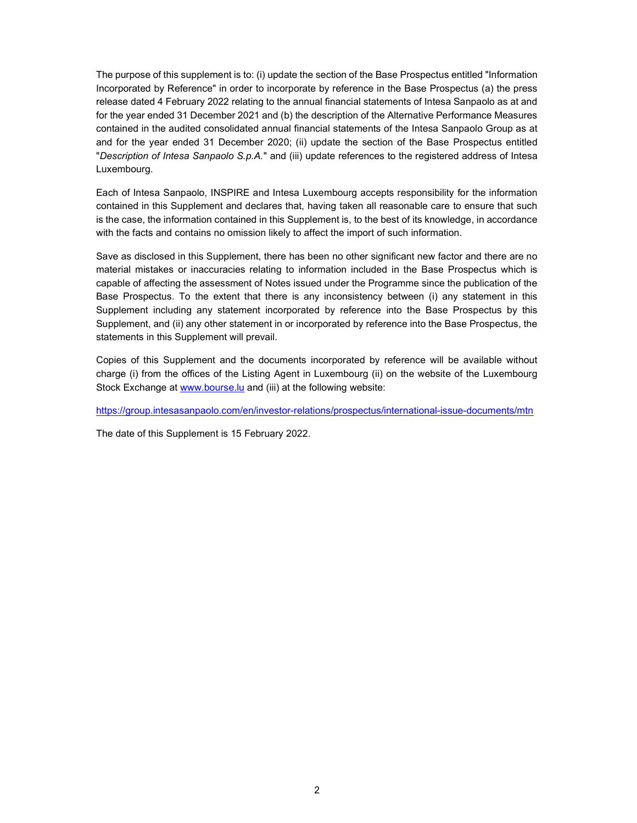The purpose of this supplement is to: (i) update the section of the Base Prospectus entitled "Information Incorporated by Reference" in order to incorporate by reference in the Base Prospectus (a) the press release dated 4 February 2022 relating to the annual financial statements of Intesa Sanpaolo as at and for the year ended 31 December 2021 and (b) the description of the Alternative Performance Measures contained in the audited consolidated annual financial statements of the Intesa Sanpaolo Group as at and for the year ended 31 December 2020; (ii) update the section of the Base Prospectus entitled "Description of Intesa Sanpaolo S.p.A." and (iii) update references to the registered address of Intesa Luxembourg.

Each of Intesa Sanpaolo, INSPIRE and Intesa Luxembourg accepts responsibility for the information contained in this Supplement and declares that, having taken all reasonable care to ensure that such is the case, the information contained in this Supplement is, to the best of its knowledge, in accordance with the facts and contains no omission likely to affect the import of such information.

Save as disclosed in this Supplement, there has been no other significant new factor and there are no material mistakes or inaccuracies relating to information included in the Base Prospectus which is capable of affecting the assessment of Notes issued under the Programme since the publication of the Base Prospectus. To the extent that there is any inconsistency between (i) any statement in this Supplement including any statement incorporated by reference into the Base Prospectus by this Supplement, and (ii) any other statement in or incorporated by reference into the Base Prospectus, the statements in this Supplement will prevail.

Copies of this Supplement and the documents incorporated by reference will be available without charge (i) from the offices of the Listing Agent in Luxembourg (ii) on the website of the Luxembourg Stock Exchange at www.bourse.lu and (iii) at the following website:

https://group.intesasanpaolo.com/en/investor-relations/prospectus/international-issue-documents/mtn

The date of this Supplement is 15 February 2022.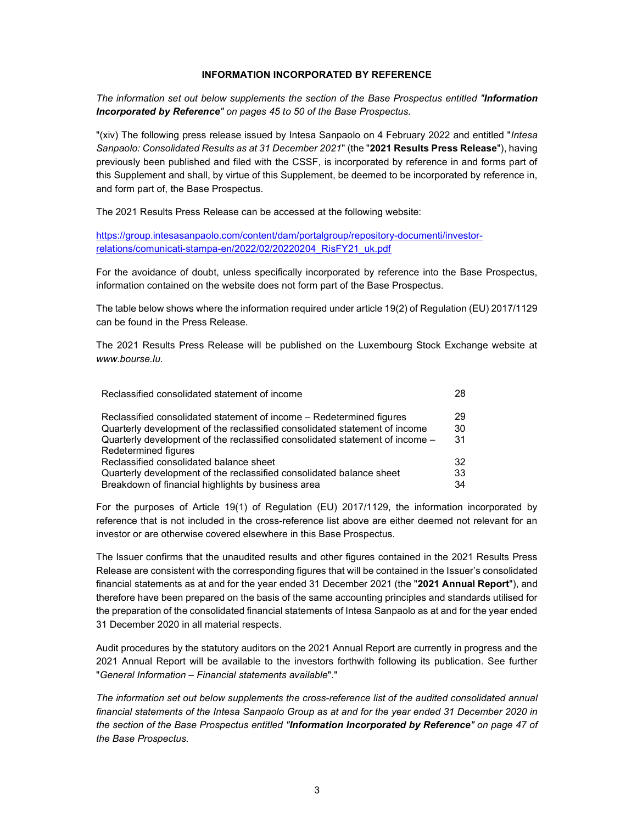#### INFORMATION INCORPORATED BY REFERENCE

The information set out below supplements the section of the Base Prospectus entitled "Information Incorporated by Reference" on pages 45 to 50 of the Base Prospectus.

"(xiv) The following press release issued by Intesa Sanpaolo on 4 February 2022 and entitled "Intesa Sanpaolo: Consolidated Results as at 31 December 2021" (the "2021 Results Press Release"), having previously been published and filed with the CSSF, is incorporated by reference in and forms part of this Supplement and shall, by virtue of this Supplement, be deemed to be incorporated by reference in, and form part of, the Base Prospectus.

The 2021 Results Press Release can be accessed at the following website:

https://group.intesasanpaolo.com/content/dam/portalgroup/repository-documenti/investorrelations/comunicati-stampa-en/2022/02/20220204\_RisFY21\_uk.pdf

For the avoidance of doubt, unless specifically incorporated by reference into the Base Prospectus, information contained on the website does not form part of the Base Prospectus.

The table below shows where the information required under article 19(2) of Regulation (EU) 2017/1129 can be found in the Press Release.

The 2021 Results Press Release will be published on the Luxembourg Stock Exchange website at www.bourse.lu.

| Reclassified consolidated statement of income                                | 28  |
|------------------------------------------------------------------------------|-----|
| Reclassified consolidated statement of income – Redetermined figures         | 29  |
| Quarterly development of the reclassified consolidated statement of income   | 30  |
| Quarterly development of the reclassified consolidated statement of income - | -31 |
| Redetermined figures                                                         |     |
| Reclassified consolidated balance sheet                                      | 32  |
| Quarterly development of the reclassified consolidated balance sheet         | 33  |
| Breakdown of financial highlights by business area                           | 34  |

For the purposes of Article 19(1) of Regulation (EU) 2017/1129, the information incorporated by reference that is not included in the cross-reference list above are either deemed not relevant for an investor or are otherwise covered elsewhere in this Base Prospectus.

The Issuer confirms that the unaudited results and other figures contained in the 2021 Results Press Release are consistent with the corresponding figures that will be contained in the Issuer's consolidated financial statements as at and for the year ended 31 December 2021 (the "2021 Annual Report"), and therefore have been prepared on the basis of the same accounting principles and standards utilised for the preparation of the consolidated financial statements of Intesa Sanpaolo as at and for the year ended 31 December 2020 in all material respects.

Audit procedures by the statutory auditors on the 2021 Annual Report are currently in progress and the 2021 Annual Report will be available to the investors forthwith following its publication. See further "General Information – Financial statements available"."

The information set out below supplements the cross-reference list of the audited consolidated annual financial statements of the Intesa Sanpaolo Group as at and for the year ended 31 December 2020 in the section of the Base Prospectus entitled "Information Incorporated by Reference" on page 47 of the Base Prospectus.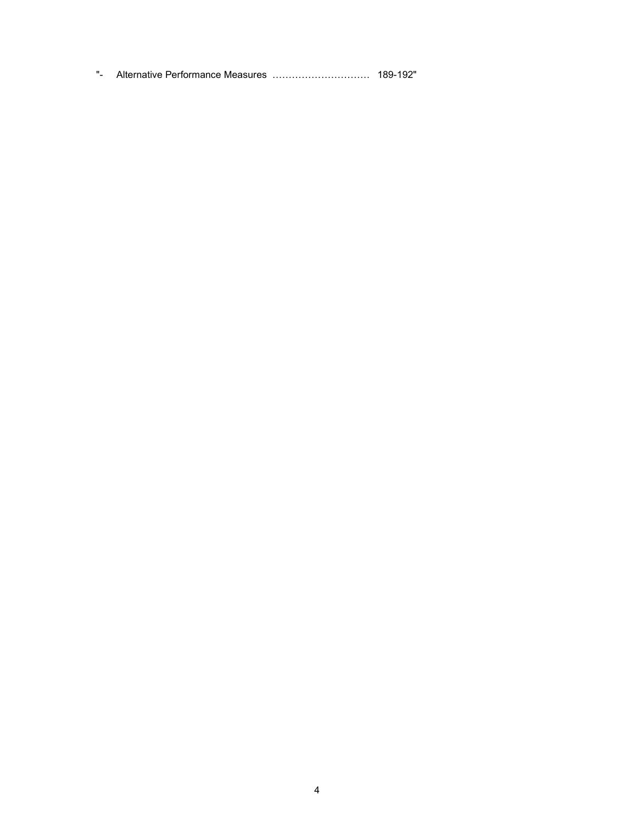"- Alternative Performance Measures ………………………… 189-192"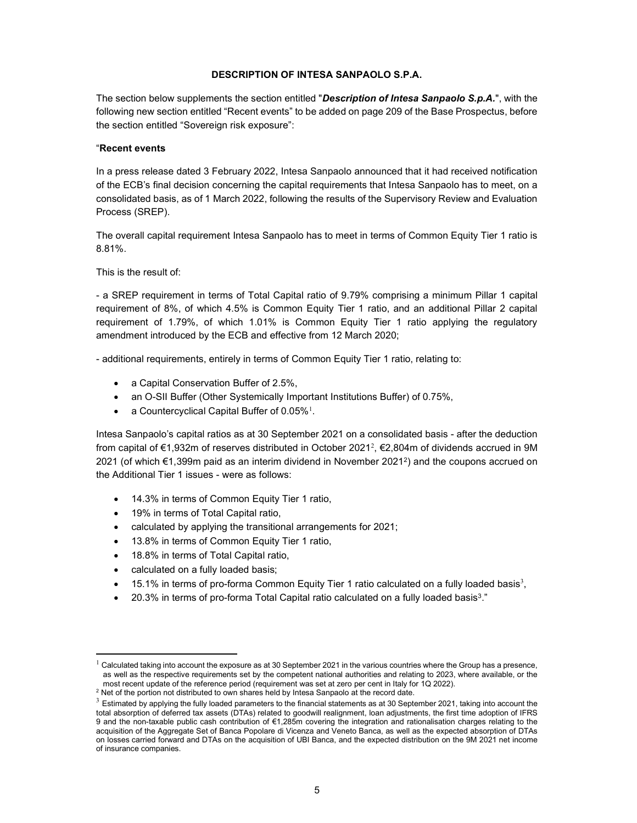#### DESCRIPTION OF INTESA SANPAOLO S.P.A.

The section below supplements the section entitled "Description of Intesa Sanpaolo S.p.A.", with the following new section entitled "Recent events" to be added on page 209 of the Base Prospectus, before the section entitled "Sovereign risk exposure":

#### "Recent events

In a press release dated 3 February 2022, Intesa Sanpaolo announced that it had received notification of the ECB's final decision concerning the capital requirements that Intesa Sanpaolo has to meet, on a consolidated basis, as of 1 March 2022, following the results of the Supervisory Review and Evaluation Process (SREP).

The overall capital requirement Intesa Sanpaolo has to meet in terms of Common Equity Tier 1 ratio is 8.81%.

This is the result of:

- a SREP requirement in terms of Total Capital ratio of 9.79% comprising a minimum Pillar 1 capital requirement of 8%, of which 4.5% is Common Equity Tier 1 ratio, and an additional Pillar 2 capital requirement of 1.79%, of which 1.01% is Common Equity Tier 1 ratio applying the regulatory amendment introduced by the ECB and effective from 12 March 2020;

- additional requirements, entirely in terms of Common Equity Tier 1 ratio, relating to:

- a Capital Conservation Buffer of 2.5%,
- an O-SII Buffer (Other Systemically Important Institutions Buffer) of 0.75%,
- a Countercyclical Capital Buffer of  $0.05\%$ <sup>1</sup>.

Intesa Sanpaolo's capital ratios as at 30 September 2021 on a consolidated basis - after the deduction from capital of €1,932m of reserves distributed in October 2021 $^2$ , €2,804m of dividends accrued in 9M 2021 (of which €1,399m paid as an interim dividend in November 2021<sup>2</sup> ) and the coupons accrued on the Additional Tier 1 issues - were as follows:

- 14.3% in terms of Common Equity Tier 1 ratio,
- 19% in terms of Total Capital ratio,
- calculated by applying the transitional arrangements for 2021;
- 13.8% in terms of Common Equity Tier 1 ratio,
- 18.8% in terms of Total Capital ratio,
- calculated on a fully loaded basis;
- $\bullet$  15.1% in terms of pro-forma Common Equity Tier 1 ratio calculated on a fully loaded basis<sup>3</sup>,
- 20.3% in terms of pro-forma Total Capital ratio calculated on a fully loaded basis<sup>3</sup>."

 $1$  Calculated taking into account the exposure as at 30 September 2021 in the various countries where the Group has a presence, as well as the respective requirements set by the competent national authorities and relating to 2023, where available, or the most recent update of the reference period (requirement was set at zero per cent in Italy for 1Q 2022).

 $2$  Net of the portion not distributed to own shares held by Intesa Sanpaolo at the record date.

 $3$  Estimated by applying the fully loaded parameters to the financial statements as at 30 September 2021, taking into account the total absorption of deferred tax assets (DTAs) related to goodwill realignment, loan adjustments, the first time adoption of IFRS 9 and the non-taxable public cash contribution of €1,285m covering the integration and rationalisation charges relating to the acquisition of the Aggregate Set of Banca Popolare di Vicenza and Veneto Banca, as well as the expected absorption of DTAs on losses carried forward and DTAs on the acquisition of UBI Banca, and the expected distribution on the 9M 2021 net income of insurance companies.